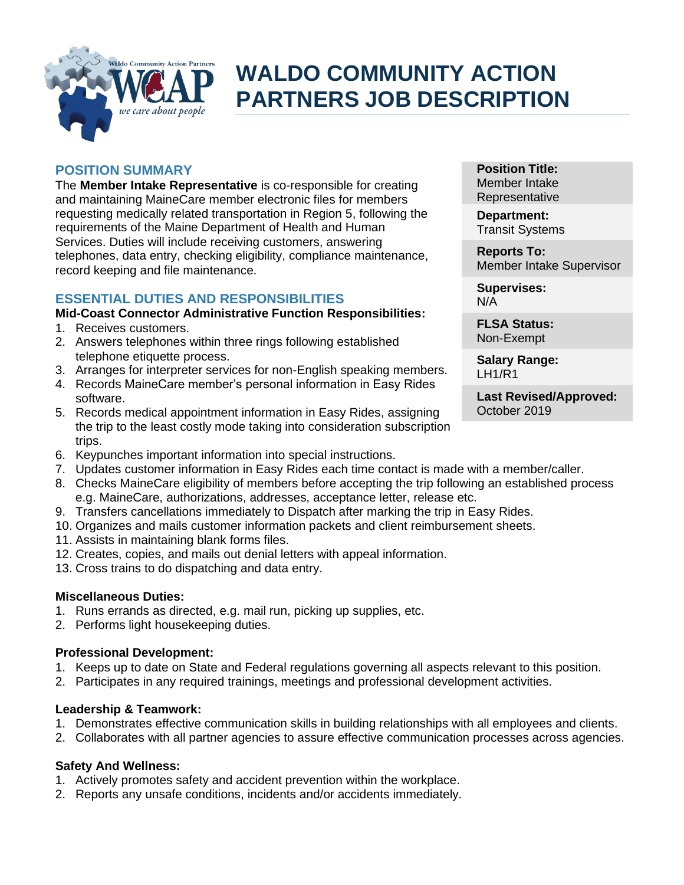

# **WALDO COMMUNITY ACTION PARTNERS JOB DESCRIPTION**

## **POSITION SUMMARY**

The **Member Intake Representative** is co-responsible for creating and maintaining MaineCare member electronic files for members requesting medically related transportation in Region 5, following the requirements of the Maine Department of Health and Human Services. Duties will include receiving customers, answering telephones, data entry, checking eligibility, compliance maintenance, record keeping and file maintenance.

# **ESSENTIAL DUTIES AND RESPONSIBILITIES**

## **Mid-Coast Connector Administrative Function Responsibilities:**

- 1. Receives customers.
- 2. Answers telephones within three rings following established telephone etiquette process.
- 3. Arranges for interpreter services for non-English speaking members.
- 4. Records MaineCare member's personal information in Easy Rides software.
- 5. Records medical appointment information in Easy Rides, assigning the trip to the least costly mode taking into consideration subscription trips.
- 6. Keypunches important information into special instructions.
- 7. Updates customer information in Easy Rides each time contact is made with a member/caller.
- 8. Checks MaineCare eligibility of members before accepting the trip following an established process e.g. MaineCare, authorizations, addresses, acceptance letter, release etc.
- 9. Transfers cancellations immediately to Dispatch after marking the trip in Easy Rides.
- 10. Organizes and mails customer information packets and client reimbursement sheets.
- 11. Assists in maintaining blank forms files.
- 12. Creates, copies, and mails out denial letters with appeal information.
- 13. Cross trains to do dispatching and data entry.

## **Miscellaneous Duties:**

- 1. Runs errands as directed, e.g. mail run, picking up supplies, etc.
- 2. Performs light housekeeping duties.

## **Professional Development:**

- 1. Keeps up to date on State and Federal regulations governing all aspects relevant to this position.
- 2. Participates in any required trainings, meetings and professional development activities.

## **Leadership & Teamwork:**

- 1. Demonstrates effective communication skills in building relationships with all employees and clients.
- 2. Collaborates with all partner agencies to assure effective communication processes across agencies.

## **Safety And Wellness:**

- 1. Actively promotes safety and accident prevention within the workplace.
- 2. Reports any unsafe conditions, incidents and/or accidents immediately.

**Position Title:** Member Intake Representative

**Department:** Transit Systems

**Reports To:** Member Intake Supervisor

**Supervises:** N/A

**FLSA Status:** Non-Exempt

**Salary Range:** LH1/R1

**Last Revised/Approved:** October 2019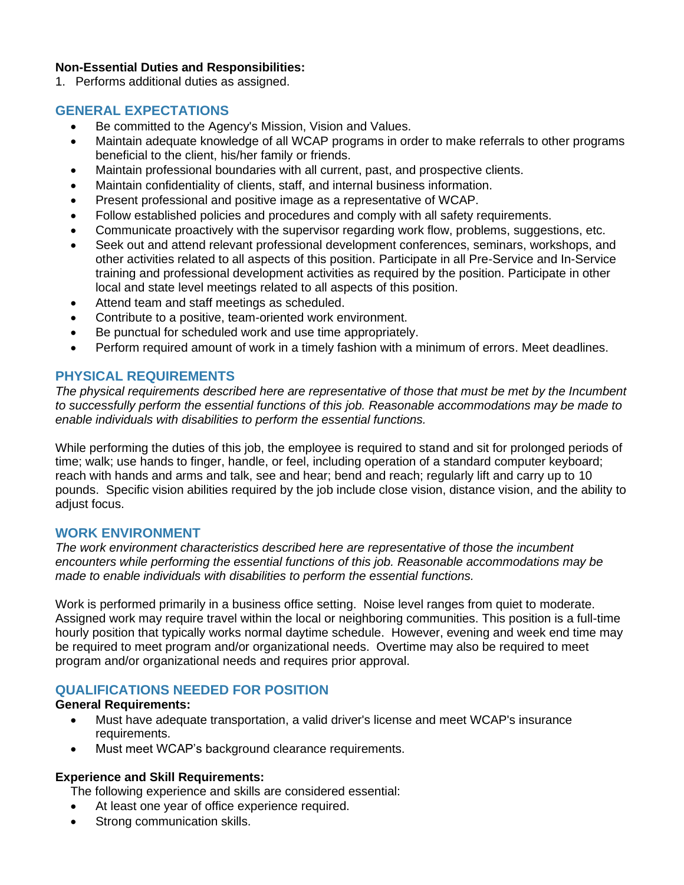## **Non-Essential Duties and Responsibilities:**

1. Performs additional duties as assigned.

## **GENERAL EXPECTATIONS**

- Be committed to the Agency's Mission, Vision and Values.
- Maintain adequate knowledge of all WCAP programs in order to make referrals to other programs beneficial to the client, his/her family or friends.
- Maintain professional boundaries with all current, past, and prospective clients.
- Maintain confidentiality of clients, staff, and internal business information.
- Present professional and positive image as a representative of WCAP.
- Follow established policies and procedures and comply with all safety requirements.
- Communicate proactively with the supervisor regarding work flow, problems, suggestions, etc.
- Seek out and attend relevant professional development conferences, seminars, workshops, and other activities related to all aspects of this position. Participate in all Pre-Service and In-Service training and professional development activities as required by the position. Participate in other local and state level meetings related to all aspects of this position.
- Attend team and staff meetings as scheduled.
- Contribute to a positive, team-oriented work environment.
- Be punctual for scheduled work and use time appropriately.
- Perform required amount of work in a timely fashion with a minimum of errors. Meet deadlines.

# **PHYSICAL REQUIREMENTS**

*The physical requirements described here are representative of those that must be met by the Incumbent to successfully perform the essential functions of this job. Reasonable accommodations may be made to enable individuals with disabilities to perform the essential functions.*

While performing the duties of this job, the employee is required to stand and sit for prolonged periods of time; walk; use hands to finger, handle, or feel, including operation of a standard computer keyboard; reach with hands and arms and talk, see and hear; bend and reach; regularly lift and carry up to 10 pounds. Specific vision abilities required by the job include close vision, distance vision, and the ability to adjust focus.

## **WORK ENVIRONMENT**

*The work environment characteristics described here are representative of those the incumbent encounters while performing the essential functions of this job. Reasonable accommodations may be made to enable individuals with disabilities to perform the essential functions.* 

Work is performed primarily in a business office setting. Noise level ranges from quiet to moderate. Assigned work may require travel within the local or neighboring communities. This position is a full-time hourly position that typically works normal daytime schedule. However, evening and week end time may be required to meet program and/or organizational needs. Overtime may also be required to meet program and/or organizational needs and requires prior approval.

# **QUALIFICATIONS NEEDED FOR POSITION**

## **General Requirements:**

- Must have adequate transportation, a valid driver's license and meet WCAP's insurance requirements.
- Must meet WCAP's background clearance requirements.

## **Experience and Skill Requirements:**

The following experience and skills are considered essential:

- At least one year of office experience required.
- Strong communication skills.